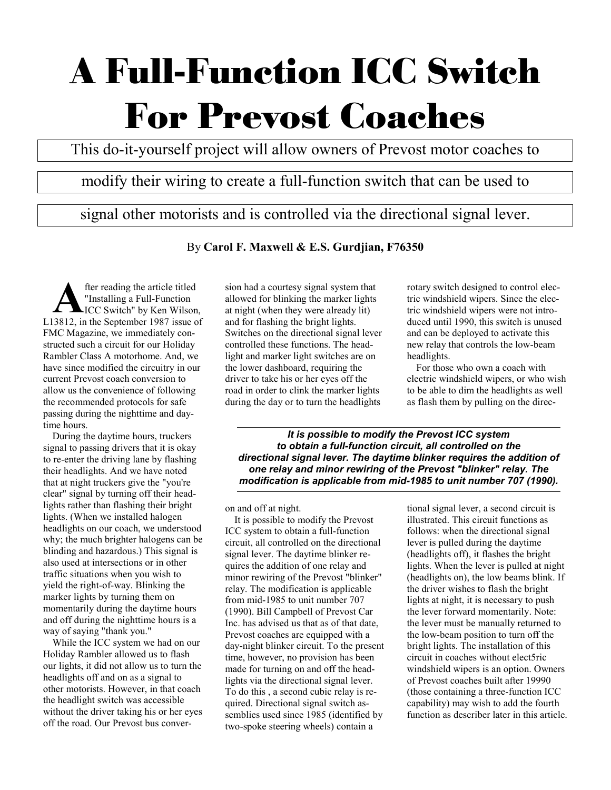# A Full-Function ICC Switch For Prevost Coaches

This do-it-yourself project will allow owners of Prevost motor coaches to

## modify their wiring to create a full-function switch that can be used to

signal other motorists and is controlled via the directional signal lever.

By **Carol F. Maxwell & E.S. Gurdjian, F76350**

fter reading the article titled "Installing a Full-Function ICC Switch" by Ken Wilson, **A** fter reading the article titled<br>
ICC Switch" by Ken Wilson,<br>
L13812, in the September 1987 issue of FMC Magazine, we immediately constructed such a circuit for our Holiday Rambler Class A motorhome. And, we have since modified the circuitry in our current Prevost coach conversion to allow us the convenience of following the recommended protocols for safe passing during the nighttime and daytime hours.

During the daytime hours, truckers signal to passing drivers that it is okay to re-enter the driving lane by flashing their headlights. And we have noted that at night truckers give the "you're clear" signal by turning off their headlights rather than flashing their bright lights. (When we installed halogen headlights on our coach, we understood why; the much brighter halogens can be blinding and hazardous.) This signal is also used at intersections or in other traffic situations when you wish to yield the right-of-way. Blinking the marker lights by turning them on momentarily during the daytime hours and off during the nighttime hours is a way of saying "thank you."

While the ICC system we had on our Holiday Rambler allowed us to flash our lights, it did not allow us to turn the headlights off and on as a signal to other motorists. However, in that coach the headlight switch was accessible without the driver taking his or her eyes off the road. Our Prevost bus conversion had a courtesy signal system that allowed for blinking the marker lights at night (when they were already lit) and for flashing the bright lights. Switches on the directional signal lever controlled these functions. The headlight and marker light switches are on the lower dashboard, requiring the driver to take his or her eyes off the road in order to clink the marker lights during the day or to turn the headlights

rotary switch designed to control electric windshield wipers. Since the electric windshield wipers were not introduced until 1990, this switch is unused and can be deployed to activate this new relay that controls the low-beam headlights.

For those who own a coach with electric windshield wipers, or who wish to be able to dim the headlights as well as flash them by pulling on the direc-

*It is possible to modify the Prevost ICC system to obtain a full-function circuit, all controlled on the directional signal lever. The daytime blinker requires the addition of one relay and minor rewiring of the Prevost "blinker" relay. The modification is applicable from mid-1985 to unit number 707 (1990).*

on and off at night.

It is possible to modify the Prevost ICC system to obtain a full-function circuit, all controlled on the directional signal lever. The daytime blinker requires the addition of one relay and minor rewiring of the Prevost "blinker" relay. The modification is applicable from mid-1985 to unit number 707 (1990). Bill Campbell of Prevost Car Inc. has advised us that as of that date, Prevost coaches are equipped with a day-night blinker circuit. To the present time, however, no provision has been made for turning on and off the headlights via the directional signal lever. To do this , a second cubic relay is required. Directional signal switch assemblies used since 1985 (identified by two-spoke steering wheels) contain a

tional signal lever, a second circuit is illustrated. This circuit functions as follows: when the directional signal lever is pulled during the daytime (headlights off), it flashes the bright lights. When the lever is pulled at night (headlights on), the low beams blink. If the driver wishes to flash the bright lights at night, it is necessary to push the lever forward momentarily. Note: the lever must be manually returned to the low-beam position to turn off the bright lights. The installation of this circuit in coaches without elect5ric windshield wipers is an option. Owners of Prevost coaches built after 19990 (those containing a three-function ICC capability) may wish to add the fourth function as describer later in this article.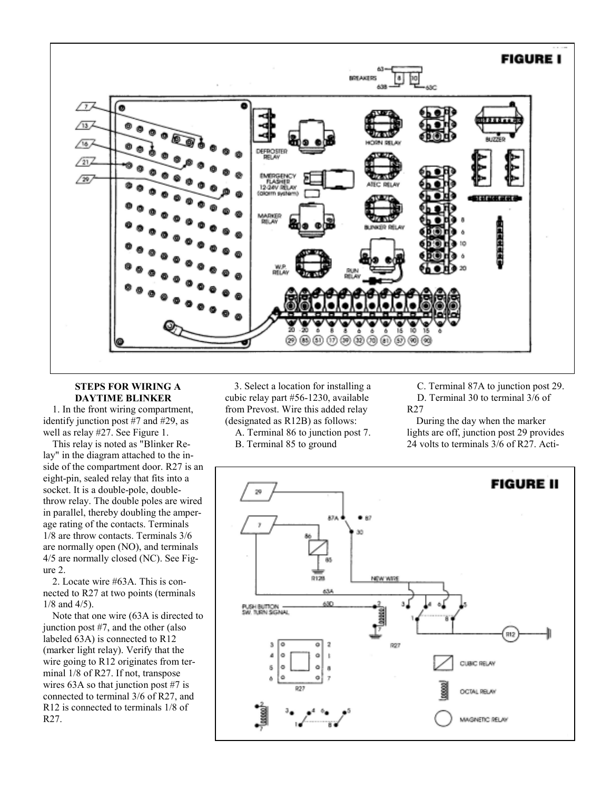

### **STEPS FOR WIRING A DAYTIME BLINKER**

1. In the front wiring compartment, identify junction post #7 and #29, as well as relay #27. See Figure 1.

This relay is noted as "Blinker Relay" in the diagram attached to the inside of the compartment door. R27 is an eight-pin, sealed relay that fits into a socket. It is a double-pole, doublethrow relay. The double poles are wired in parallel, thereby doubling the amperage rating of the contacts. Terminals 1/8 are throw contacts. Terminals 3/6 are normally open (NO), and terminals 4/5 are normally closed (NC). See Figure 2.

2. Locate wire #63A. This is connected to R27 at two points (terminals 1/8 and 4/5).

Note that one wire (63A is directed to junction post #7, and the other (also labeled 63A) is connected to R12 (marker light relay). Verify that the wire going to R12 originates from terminal 1/8 of R27. If not, transpose wires 63A so that junction post #7 is connected to terminal 3/6 of R27, and R12 is connected to terminals 1/8 of R27.

3. Select a location for installing a cubic relay part #56-1230, available from Prevost. Wire this added relay (designated as R12B) as follows:

A. Terminal 86 to junction post 7.

B. Terminal 85 to ground

C. Terminal 87A to junction post 29. D. Terminal 30 to terminal 3/6 of R27

During the day when the marker lights are off, junction post 29 provides 24 volts to terminals 3/6 of R27. Acti-

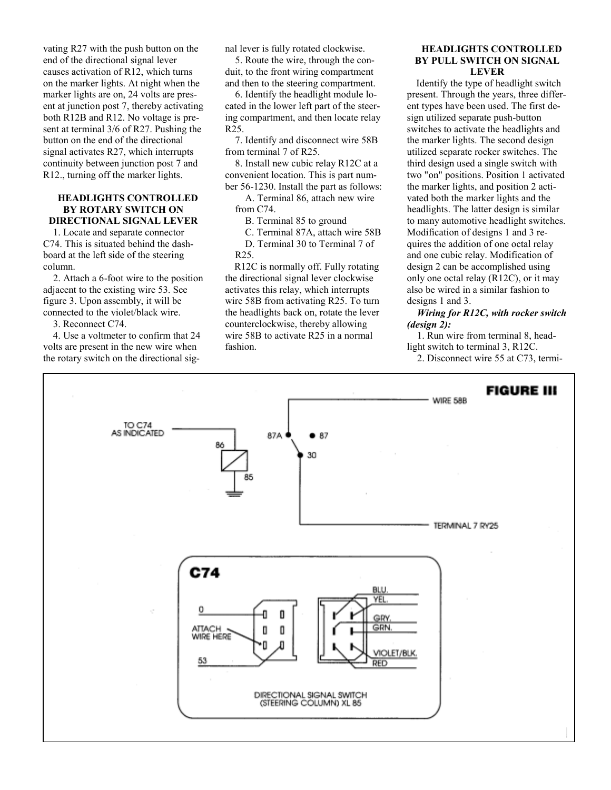vating R27 with the push button on the end of the directional signal lever causes activation of R12, which turns on the marker lights. At night when the marker lights are on, 24 volts are present at junction post 7, thereby activating both R12B and R12. No voltage is present at terminal 3/6 of R27. Pushing the button on the end of the directional signal activates R27, which interrupts continuity between junction post 7 and R12., turning off the marker lights.

#### **HEADLIGHTS CONTROLLED BY ROTARY SWITCH ON DIRECTIONAL SIGNAL LEVER**

1. Locate and separate connector C74. This is situated behind the dashboard at the left side of the steering column.

2. Attach a 6-foot wire to the position adjacent to the existing wire 53. See figure 3. Upon assembly, it will be connected to the violet/black wire.

3. Reconnect C74.

4. Use a voltmeter to confirm that 24 volts are present in the new wire when the rotary switch on the directional signal lever is fully rotated clockwise.

5. Route the wire, through the conduit, to the front wiring compartment and then to the steering compartment.

6. Identify the headlight module located in the lower left part of the steering compartment, and then locate relay R25.

7. Identify and disconnect wire 58B from terminal 7 of R25.

8. Install new cubic relay R12C at a convenient location. This is part number 56-1230. Install the part as follows:

A. Terminal 86, attach new wire from C74.

B. Terminal 85 to ground

C. Terminal 87A, attach wire 58B

D. Terminal 30 to Terminal 7 of R25.

R12C is normally off. Fully rotating the directional signal lever clockwise activates this relay, which interrupts wire 58B from activating R25. To turn the headlights back on, rotate the lever counterclockwise, thereby allowing wire 58B to activate R25 in a normal fashion.

#### **HEADLIGHTS CONTROLLED BY PULL SWITCH ON SIGNAL LEVER**

Identify the type of headlight switch present. Through the years, three different types have been used. The first design utilized separate push-button switches to activate the headlights and the marker lights. The second design utilized separate rocker switches. The third design used a single switch with two "on" positions. Position 1 activated the marker lights, and position 2 activated both the marker lights and the headlights. The latter design is similar to many automotive headlight switches. Modification of designs 1 and 3 requires the addition of one octal relay and one cubic relay. Modification of design 2 can be accomplished using only one octal relay (R12C), or it may also be wired in a similar fashion to designs 1 and 3.

*Wiring for R12C, with rocker switch (design 2):*

1. Run wire from terminal 8, headlight switch to terminal 3, R12C. 2. Disconnect wire 55 at C73, termi-